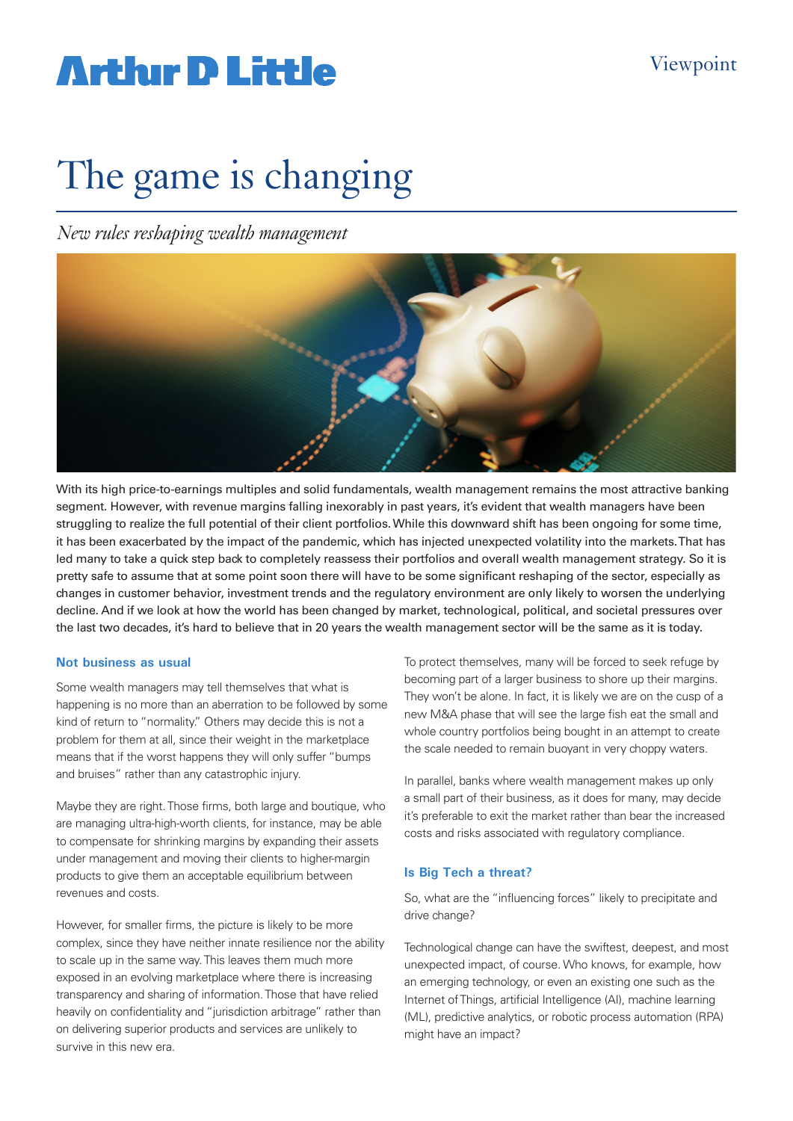## **Arthur D Little**

# The game is changing

*New rules reshaping wealth management*



With its high price-to-earnings multiples and solid fundamentals, wealth management remains the most attractive banking segment. However, with revenue margins falling inexorably in past years, it's evident that wealth managers have been struggling to realize the full potential of their client portfolios. While this downward shift has been ongoing for some time, it has been exacerbated by the impact of the pandemic, which has injected unexpected volatility into the markets. That has led many to take a quick step back to completely reassess their portfolios and overall wealth management strategy. So it is pretty safe to assume that at some point soon there will have to be some significant reshaping of the sector, especially as changes in customer behavior, investment trends and the regulatory environment are only likely to worsen the underlying decline. And if we look at how the world has been changed by market, technological, political, and societal pressures over the last two decades, it's hard to believe that in 20 years the wealth management sector will be the same as it is today.

### **Not business as usual**

Some wealth managers may tell themselves that what is happening is no more than an aberration to be followed by some kind of return to "normality." Others may decide this is not a problem for them at all, since their weight in the marketplace means that if the worst happens they will only suffer "bumps and bruises" rather than any catastrophic injury.

Maybe they are right. Those firms, both large and boutique, who are managing ultra-high-worth clients, for instance, may be able to compensate for shrinking margins by expanding their assets under management and moving their clients to higher-margin products to give them an acceptable equilibrium between revenues and costs.

However, for smaller firms, the picture is likely to be more complex, since they have neither innate resilience nor the ability to scale up in the same way. This leaves them much more exposed in an evolving marketplace where there is increasing transparency and sharing of information. Those that have relied heavily on confidentiality and "jurisdiction arbitrage" rather than on delivering superior products and services are unlikely to survive in this new era.

To protect themselves, many will be forced to seek refuge by becoming part of a larger business to shore up their margins. They won't be alone. In fact, it is likely we are on the cusp of a new M&A phase that will see the large fish eat the small and whole country portfolios being bought in an attempt to create the scale needed to remain buoyant in very choppy waters.

In parallel, banks where wealth management makes up only a small part of their business, as it does for many, may decide it's preferable to exit the market rather than bear the increased costs and risks associated with regulatory compliance.

### **Is Big Tech a threat?**

So, what are the "influencing forces" likely to precipitate and drive change?

Technological change can have the swiftest, deepest, and most unexpected impact, of course. Who knows, for example, how an emerging technology, or even an existing one such as the Internet of Things, artificial Intelligence (AI), machine learning (ML), predictive analytics, or robotic process automation (RPA) might have an impact?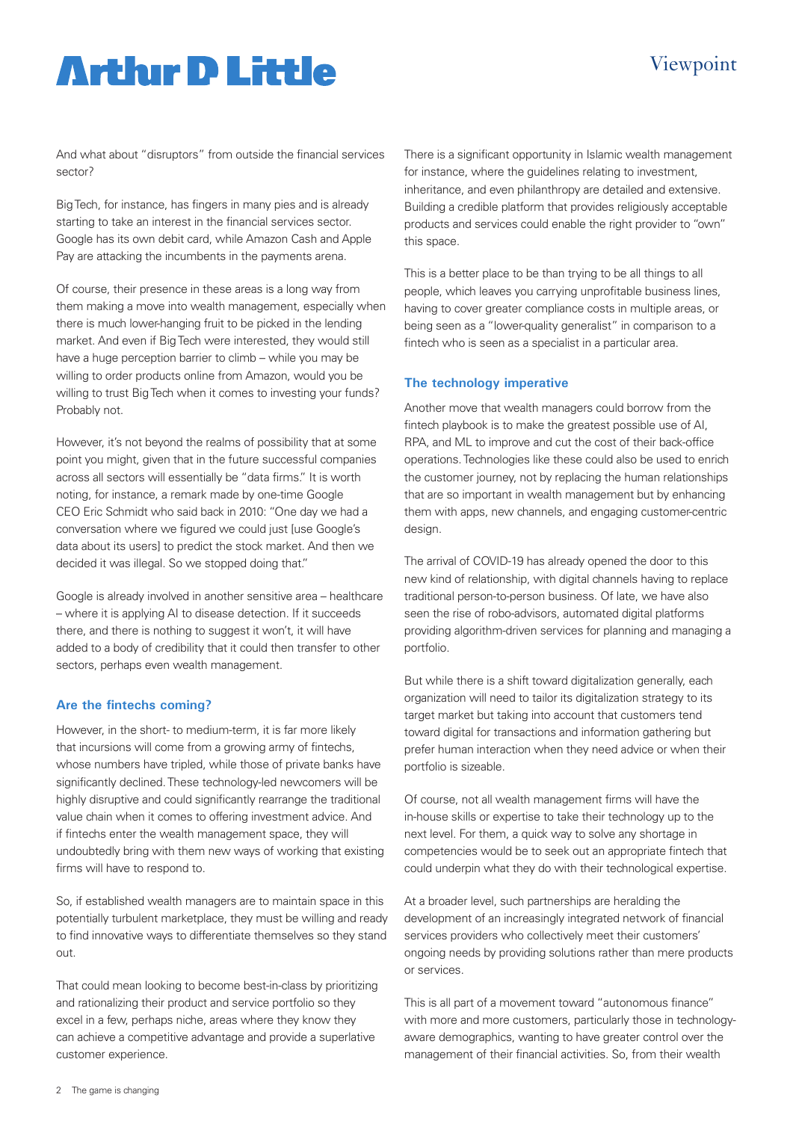### Viewpoint

## **Artlur D Little**

And what about "disruptors" from outside the financial services sector?

Big Tech, for instance, has fingers in many pies and is already starting to take an interest in the financial services sector. Google has its own debit card, while Amazon Cash and Apple Pay are attacking the incumbents in the payments arena.

Of course, their presence in these areas is a long way from them making a move into wealth management, especially when there is much lower-hanging fruit to be picked in the lending market. And even if Big Tech were interested, they would still have a huge perception barrier to climb – while you may be willing to order products online from Amazon, would you be willing to trust Big Tech when it comes to investing your funds? Probably not.

However, it's not beyond the realms of possibility that at some point you might, given that in the future successful companies across all sectors will essentially be "data firms." It is worth noting, for instance, a remark made by one-time Google CEO Eric Schmidt who said back in 2010: "One day we had a conversation where we figured we could just [use Google's data about its users] to predict the stock market. And then we decided it was illegal. So we stopped doing that."

Google is already involved in another sensitive area – healthcare – where it is applying AI to disease detection. If it succeeds there, and there is nothing to suggest it won't, it will have added to a body of credibility that it could then transfer to other sectors, perhaps even wealth management.

### **Are the fintechs coming?**

However, in the short- to medium-term, it is far more likely that incursions will come from a growing army of fintechs, whose numbers have tripled, while those of private banks have significantly declined. These technology-led newcomers will be highly disruptive and could significantly rearrange the traditional value chain when it comes to offering investment advice. And if fintechs enter the wealth management space, they will undoubtedly bring with them new ways of working that existing firms will have to respond to.

So, if established wealth managers are to maintain space in this potentially turbulent marketplace, they must be willing and ready to find innovative ways to differentiate themselves so they stand out.

That could mean looking to become best-in-class by prioritizing and rationalizing their product and service portfolio so they excel in a few, perhaps niche, areas where they know they can achieve a competitive advantage and provide a superlative customer experience.

There is a significant opportunity in Islamic wealth management for instance, where the quidelines relating to investment. inheritance, and even philanthropy are detailed and extensive. Building a credible platform that provides religiously acceptable products and services could enable the right provider to "own" this space.

This is a better place to be than trying to be all things to all people, which leaves you carrying unprofitable business lines, having to cover greater compliance costs in multiple areas, or being seen as a "lower-quality generalist" in comparison to a fintech who is seen as a specialist in a particular area.

### **The technology imperative**

Another move that wealth managers could borrow from the fintech playbook is to make the greatest possible use of AI, RPA, and ML to improve and cut the cost of their back-office operations. Technologies like these could also be used to enrich the customer journey, not by replacing the human relationships that are so important in wealth management but by enhancing them with apps, new channels, and engaging customer-centric design.

The arrival of COVID-19 has already opened the door to this new kind of relationship, with digital channels having to replace traditional person-to-person business. Of late, we have also seen the rise of robo-advisors, automated digital platforms providing algorithm-driven services for planning and managing a portfolio.

But while there is a shift toward digitalization generally, each organization will need to tailor its digitalization strategy to its target market but taking into account that customers tend toward digital for transactions and information gathering but prefer human interaction when they need advice or when their portfolio is sizeable.

Of course, not all wealth management firms will have the in-house skills or expertise to take their technology up to the next level. For them, a quick way to solve any shortage in competencies would be to seek out an appropriate fintech that could underpin what they do with their technological expertise.

At a broader level, such partnerships are heralding the development of an increasingly integrated network of financial services providers who collectively meet their customers' ongoing needs by providing solutions rather than mere products or services.

This is all part of a movement toward "autonomous finance" with more and more customers, particularly those in technologyaware demographics, wanting to have greater control over the management of their financial activities. So, from their wealth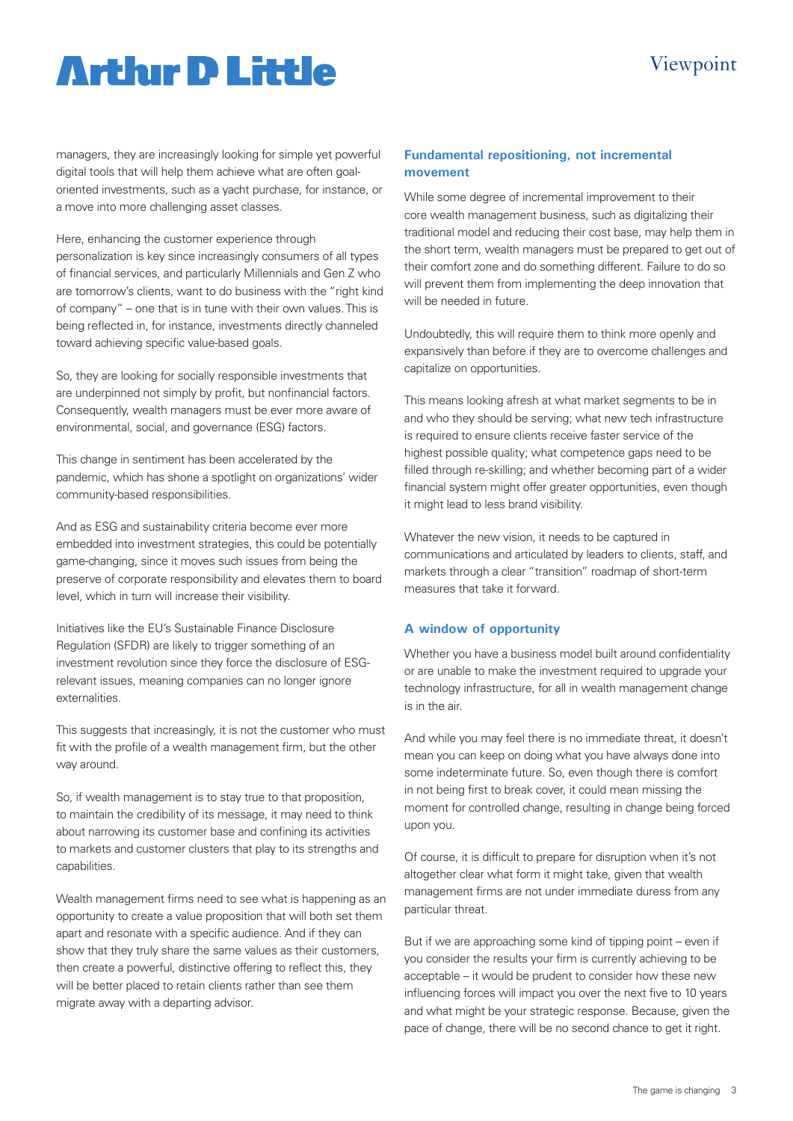### Viewpoint

## **Artlur D Little**

managers, they are increasingly looking for simple yet powerful digital tools that will help them achieve what are often goaloriented investments, such as a yacht purchase, for instance, or a move into more challenging asset classes.

Here, enhancing the customer experience through personalization is key since increasingly consumers of all types of financial services, and particularly Millennials and Gen Z who are tomorrow's clients, want to do business with the "right kind of company" – one that is in tune with their own values. This is being reflected in, for instance, investments directly channeled toward achieving specific value-based goals.

So, they are looking for socially responsible investments that are underpinned not simply by profit, but nonfinancial factors. Consequently, wealth managers must be ever more aware of environmental, social, and governance (ESG) factors.

This change in sentiment has been accelerated by the pandemic, which has shone a spotlight on organizations' wider community-based responsibilities.

And as ESG and sustainability criteria become ever more embedded into investment strategies, this could be potentially game-changing, since it moves such issues from being the preserve of corporate responsibility and elevates them to board level, which in turn will increase their visibility.

Initiatives like the EU's Sustainable Finance Disclosure Regulation (SFDR) are likely to trigger something of an investment revolution since they force the disclosure of ESGrelevant issues, meaning companies can no longer ignore externalities.

This suggests that increasingly, it is not the customer who must fit with the profile of a wealth management firm, but the other way around.

So, if wealth management is to stay true to that proposition, to maintain the credibility of its message, it may need to think about narrowing its customer base and confining its activities to markets and customer clusters that play to its strengths and capabilities.

Wealth management firms need to see what is happening as an opportunity to create a value proposition that will both set them apart and resonate with a specific audience. And if they can show that they truly share the same values as their customers, then create a powerful, distinctive offering to reflect this, they will be better placed to retain clients rather than see them migrate away with a departing advisor.

#### **Fundamental repositioning, not incremental movement**

While some degree of incremental improvement to their core wealth management business, such as digitalizing their traditional model and reducing their cost base, may help them in the short term, wealth managers must be prepared to get out of their comfort zone and do something different. Failure to do so will prevent them from implementing the deep innovation that will be needed in future.

Undoubtedly, this will require them to think more openly and expansively than before if they are to overcome challenges and capitalize on opportunities.

This means looking afresh at what market segments to be in and who they should be serving; what new tech infrastructure is required to ensure clients receive faster service of the highest possible quality; what competence gaps need to be filled through re-skilling; and whether becoming part of a wider financial system might offer greater opportunities, even though it might lead to less brand visibility.

Whatever the new vision, it needs to be captured in communications and articulated by leaders to clients, staff, and markets through a clear "transition" roadmap of short-term measures that take it forward.

### **A window of opportunity**

Whether you have a business model built around confidentiality or are unable to make the investment required to upgrade your technology infrastructure, for all in wealth management change is in the air.

And while you may feel there is no immediate threat, it doesn't mean you can keep on doing what you have always done into some indeterminate future. So, even though there is comfort in not being first to break cover, it could mean missing the moment for controlled change, resulting in change being forced upon you.

Of course, it is difficult to prepare for disruption when it's not altogether clear what form it might take, given that wealth management firms are not under immediate duress from any particular threat.

But if we are approaching some kind of tipping point – even if you consider the results your firm is currently achieving to be acceptable – it would be prudent to consider how these new influencing forces will impact you over the next five to 10 years and what might be your strategic response. Because, given the pace of change, there will be no second chance to get it right.